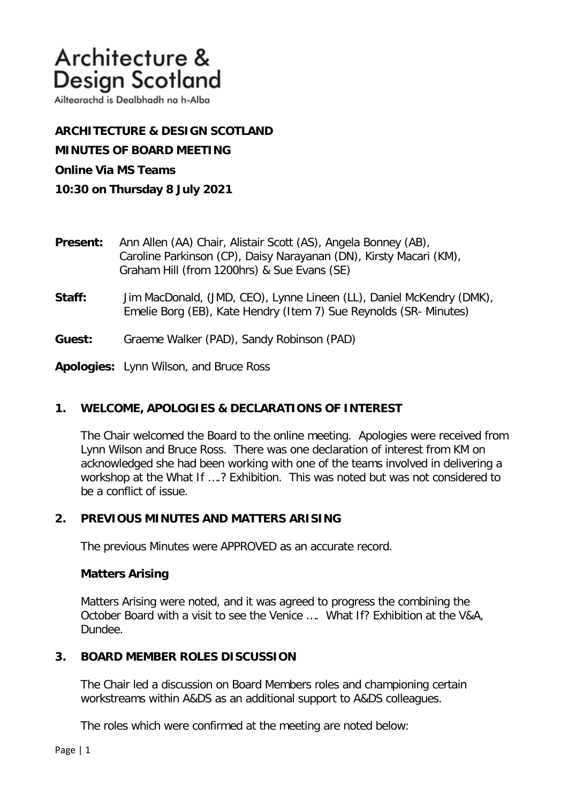Ailtearachd is Dealbhadh na h-Alba

**ARCHITECTURE & DESIGN SCOTLAND MINUTES OF BOARD MEETING Online Via MS Teams 10:30 on Thursday 8 July 2021**

- **Present:** Ann Allen (AA) Chair, Alistair Scott (AS), Angela Bonney (AB), Caroline Parkinson (CP), Daisy Narayanan (DN), Kirsty Macari (KM), Graham Hill (from 1200hrs) & Sue Evans (SE)
- **Staff:** Jim MacDonald, (JMD, CEO), Lynne Lineen (LL), Daniel McKendry (DMK), Emelie Borg (EB), Kate Hendry (Item 7) Sue Reynolds (SR- Minutes)
- **Guest:** Graeme Walker (PAD), Sandy Robinson (PAD)

**Apologies:** Lynn Wilson, and Bruce Ross

## **1. WELCOME, APOLOGIES & DECLARATIONS OF INTEREST**

The Chair welcomed the Board to the online meeting. Apologies were received from Lynn Wilson and Bruce Ross. There was one declaration of interest from KM on acknowledged she had been working with one of the teams involved in delivering a workshop at the What If ….? Exhibition. This was noted but was not considered to be a conflict of issue.

## **2. PREVIOUS MINUTES AND MATTERS ARISING**

The previous Minutes were APPROVED as an accurate record.

## **Matters Arising**

Matters Arising were noted, and it was agreed to progress the combining the October Board with a visit to see the Venice …. What If? Exhibition at the V&A, Dundee.

## **3. BOARD MEMBER ROLES DISCUSSION**

The Chair led a discussion on Board Members roles and championing certain workstreams within A&DS as an additional support to A&DS colleagues.

The roles which were confirmed at the meeting are noted below: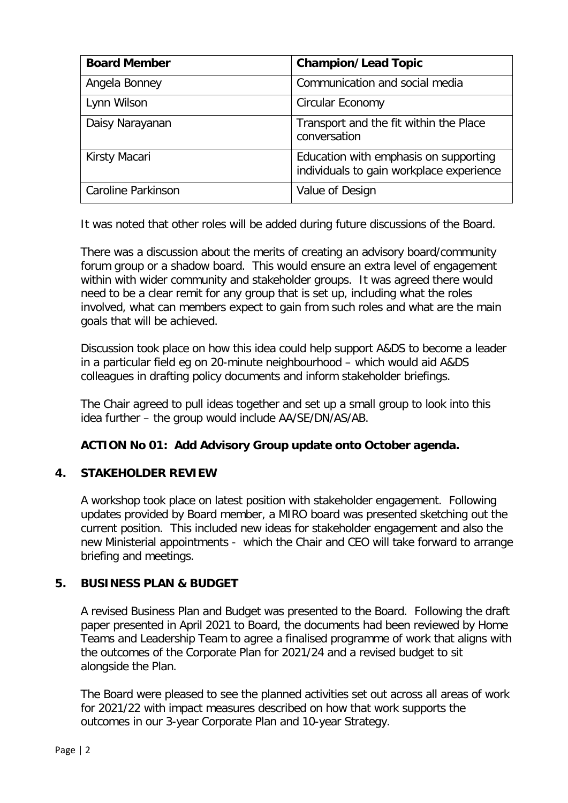| <b>Board Member</b>       | <b>Champion/Lead Topic</b>                                                        |
|---------------------------|-----------------------------------------------------------------------------------|
| Angela Bonney             | Communication and social media                                                    |
| Lynn Wilson               | Circular Economy                                                                  |
| Daisy Narayanan           | Transport and the fit within the Place<br>conversation                            |
| Kirsty Macari             | Education with emphasis on supporting<br>individuals to gain workplace experience |
| <b>Caroline Parkinson</b> | Value of Design                                                                   |

It was noted that other roles will be added during future discussions of the Board.

There was a discussion about the merits of creating an advisory board/community forum group or a shadow board. This would ensure an extra level of engagement within with wider community and stakeholder groups. It was agreed there would need to be a clear remit for any group that is set up, including what the roles involved, what can members expect to gain from such roles and what are the main goals that will be achieved.

Discussion took place on how this idea could help support A&DS to become a leader in a particular field eg on 20-minute neighbourhood – which would aid A&DS colleagues in drafting policy documents and inform stakeholder briefings.

The Chair agreed to pull ideas together and set up a small group to look into this idea further – the group would include AA/SE/DN/AS/AB.

# **ACTION No 01: Add Advisory Group update onto October agenda.**

# **4. STAKEHOLDER REVIEW**

A workshop took place on latest position with stakeholder engagement. Following updates provided by Board member, a MIRO board was presented sketching out the current position. This included new ideas for stakeholder engagement and also the new Ministerial appointments - which the Chair and CEO will take forward to arrange briefing and meetings.

# **5. BUSINESS PLAN & BUDGET**

A revised Business Plan and Budget was presented to the Board. Following the draft paper presented in April 2021 to Board, the documents had been reviewed by Home Teams and Leadership Team to agree a finalised programme of work that aligns with the outcomes of the Corporate Plan for 2021/24 and a revised budget to sit alongside the Plan.

The Board were pleased to see the planned activities set out across all areas of work for 2021/22 with impact measures described on how that work supports the outcomes in our 3-year Corporate Plan and 10-year Strategy.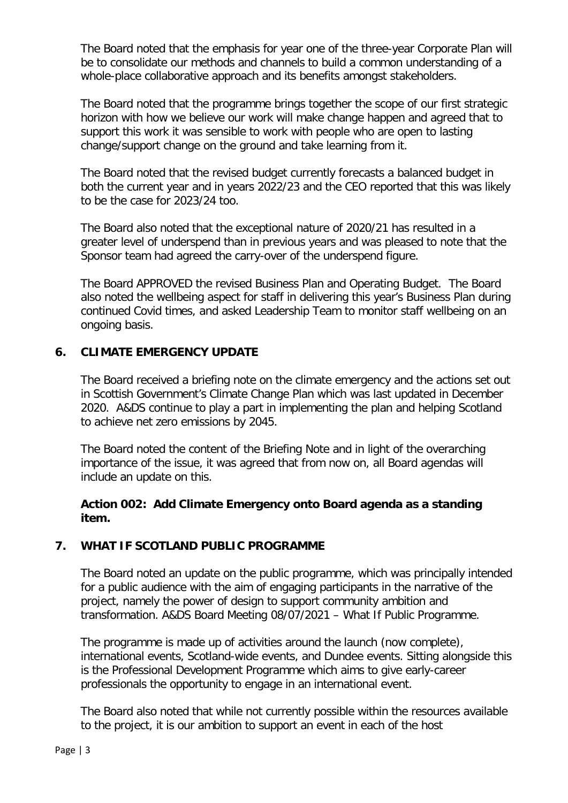The Board noted that the emphasis for year one of the three-year Corporate Plan will be to consolidate our methods and channels to build a common understanding of a whole-place collaborative approach and its benefits amongst stakeholders.

The Board noted that the programme brings together the scope of our first strategic horizon with how we believe our work will make change happen and agreed that to support this work it was sensible to work with people who are open to lasting change/support change on the ground and take learning from it.

The Board noted that the revised budget currently forecasts a balanced budget in both the current year and in years 2022/23 and the CEO reported that this was likely to be the case for 2023/24 too.

The Board also noted that the exceptional nature of 2020/21 has resulted in a greater level of underspend than in previous years and was pleased to note that the Sponsor team had agreed the carry-over of the underspend figure.

The Board APPROVED the revised Business Plan and Operating Budget. The Board also noted the wellbeing aspect for staff in delivering this year's Business Plan during continued Covid times, and asked Leadership Team to monitor staff wellbeing on an ongoing basis.

## **6. CLIMATE EMERGENCY UPDATE**

The Board received a briefing note on the climate emergency and the actions set out in Scottish Government's Climate Change Plan which was last updated in December 2020. A&DS continue to play a part in implementing the plan and helping Scotland to achieve net zero emissions by 2045.

The Board noted the content of the Briefing Note and in light of the overarching importance of the issue, it was agreed that from now on, all Board agendas will include an update on this.

## **Action 002: Add Climate Emergency onto Board agenda as a standing item.**

# **7. WHAT IF SCOTLAND PUBLIC PROGRAMME**

The Board noted an update on the public programme, which was principally intended for a public audience with the aim of engaging participants in the narrative of the project, namely the power of design to support community ambition and transformation. A&DS Board Meeting 08/07/2021 – What If Public Programme.

The programme is made up of activities around the launch (now complete), international events, Scotland-wide events, and Dundee events. Sitting alongside this is the Professional Development Programme which aims to give early-career professionals the opportunity to engage in an international event.

The Board also noted that while not currently possible within the resources available to the project, it is our ambition to support an event in each of the host